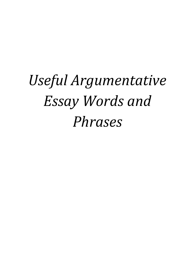# *Useful Argumentative Essay Words and Phrases*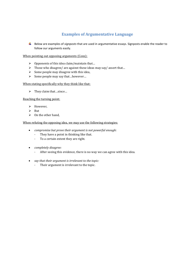## **Examples of Argumentative Language**

Below are examples of *signposts* that are used in argumentative essays. Signposts enable the reader to follow our arguments easily.

When pointing out opposing arguments (Cons):

- $\triangleright$  Opponents of this idea claim/maintain that...
- $\triangleright$  Those who disagree/ are against these ideas may say/ assert that...
- $\triangleright$  Some people may disagree with this idea,
- $\triangleright$  Some people may say that ... however...

## When stating specifically why they think like that:

They claim that…since…

Reaching the turning point:

- > However,
- $\triangleright$  But
- $\triangleright$  On the other hand,

When refuting the opposing idea, we may use the following strategies:

- *compromise but prove their argument is not powerful enough:*
	- They have a point in thinking like that.
	- To a certain extent they are right.
- *completely disagree:*
	- After seeing this evidence, there is no way we can agree with this idea.
- *say that their argument is irrelevant to the topic:*
	- Their argument is irrelevant to the topic.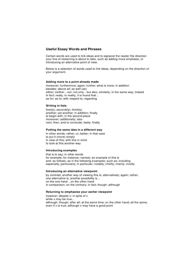## **Useful Essay Words and Phrases**

Certain words are used to link ideas and to signpost the reader the direction your line of reasoning is about to take, such as adding more emphasis, or introducing an alternative point of view.

Below is a selection of words used to link ideas, depending on the direction of your argument.

#### Adding more to a point already made

moreover; furthermore; again; further; what is more; in addition besides; above all; as well (as) either; neither...nor; not only...but also; similarly; in the same way; indeed in fact; really; in reality, it is found that... as for; as to; with respect to; regarding

#### **Writing in lists**

first(ly); second(ly); third(ly) another; yet another; in addition; finally to begin with; in the second place moreover; additionally; also next; then; and to conclude; lastly; finally

#### Putting the same idea in a different way

in other words; rather; or; better; in that case to put it (more) simply in view of this; with this in mind to look at this another way

#### **Introducing examples**

that is to say; in other words for example; for instance; namely; an example of this is and; as follows; as in the following examples; such as; including especially; particularly; in particular; notably; chiefly; mainly; mostly

#### Introducing an alternative viewpoint

by contrast; another way of viewing this is; alternatively; again; rather; one alternative is; another possibility is... on the one hand...on the other hand in comparison; on the contrary; in fact; though; although

#### Returning to emphasise your earlier viewpoint

however; despite x; in spite of x while x may be true... although; though; after all; at the same time; on the other hand; all the same; even if x is true; although x may have a good point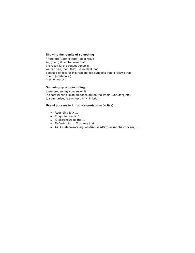#### Showing the results of something

Therefore (=por lo tanto); as a result so, (then,) it can be seen that the result is; the consequence is we can see, then, that; it is evident that because of this; for this reason; this suggests that; it follows that due to (=debido a) in other words;

#### Summing up or concluding

therefore; so, my conclusion is in short; in conclusion; to conclude; on the whole (=en conjunto) to summarise; to sum up briefly; in brief;

#### Useful phrases to introduce quotations (=citas)

- $\bullet$  According to  $X$ ,...
- $\bullet$  To quote from X, '...'
- X tells/shows us that...
- Referring to ..., X argues that
- As X stated/wrote/argued/discussed/expressed the concern, ...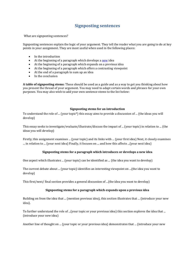## **Signposting sentences**

What are signposting sentences?

Signposting sentences explain the logic of your argument. They tell the reader what you are going to do at key points in your assignment. They are most useful when used in the following places:

- In the introduction
- At the beginning of a paragraph which develops [a new](http://www.library.dmu.ac.uk/Support/Heat/index.php?page=486) idea
- At the beginning of a paragraph which expands on a previous idea
- At the beginning of a paragraph which offers a contrasting viewpoint
- At the end of a paragraph to sum up an idea
- In the conclusion

**A table of signposting stems:** These should be used as a guide and as a way to get you thinking about how you present the thread of your argument. You may need to adapt certain words and phrases for your own purposes. You may also wish to add your own sentence stems to the list below:

## **Signposting stems for an introduction**

To understand the role of ... (your topic\*) this essay aims to provide a discussion of ... (the ideas you will develop)

This essay seeks to investigate/evaluate/illustrate/discuss the impact of ... (your topic) in relation to ... (the ideas you will develop)

Firstly, this assignment examines ... (your topic) and its links with ... (your first idea) Next, it closely examines ... in relation to ... (your next idea) Finally, it focuses on ... and how this affects ...(your next idea)

## **Signposting stems for a paragraph which introduces or develops a new idea**

One aspect which illustrates ... (your topic) can be identified as ... (the idea you want to develop)

The current debate about ... (your topic) identifies an interesting viewpoint on ...(the idea you want to develop)

This first/next/ final section provides a general discussion of ...(the idea you want to develop)

## **Signposting stems for a paragraph which expands upon a previous idea**

Building on from the idea that ... (mention previous idea), this section illustrates that ... (introduce your new idea).

To further understand the role of ...(your topic or your previous idea) this section explores the idea that ... (introduce your new idea)

Another line of thought on ... (your topic or your previous idea) demonstrates that ... (introduce your new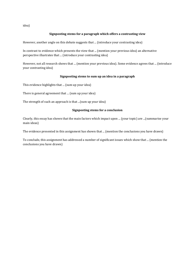idea)

## **Signposting stems for a paragraph which offers a contrasting view**

However, another angle on this debate suggests that ... (introduce your contrasting idea)

In contrast to evidence which presents the view that ... (mention your previous idea) an alternative perspective illustrates that ... (introduce your contrasting idea)

However, not all research shows that ... (mention your previous idea). Some evidence agrees that ... (introduce your contrasting idea)

## **Signposting stems to sum up an idea in a paragraph**

This evidence highlights that ... (sum up your idea)

There is general agreement that ... (sum up your idea)

The strength of such an approach is that ...(sum up your idea)

## **Signposting stems for a conclusion**

Clearly, this essay has shown that the main factors which impact upon ... (your topic) are ...(summarise your main ideas)

The evidence presented in this assignment has shown that ... (mention the conclusions you have drawn)

To conclude, this assignment has addressed a number of significant issues which show that ... (mention the conclusions you have drawn)